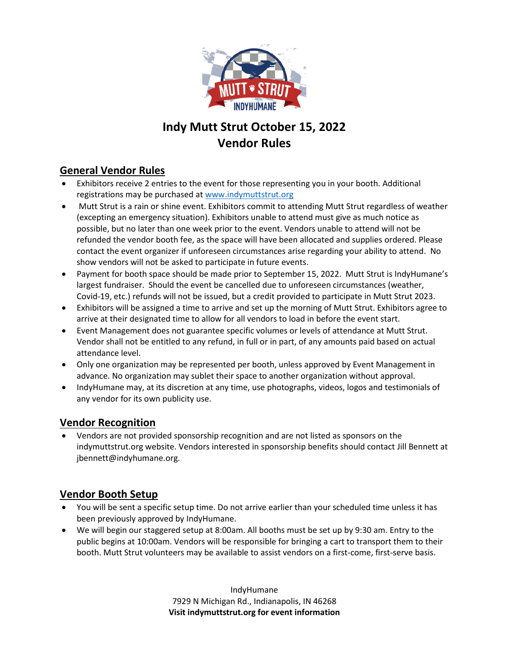

# **Indy Mutt Strut October 15, 2022 Vendor Rules**

## **General Vendor Rules**

- Exhibitors receive 2 entries to the event for those representing you in your booth. Additional registrations may be purchased at [www.indymuttstrut.org](http://www.indymuttstrut.org/)
- Mutt Strut is a rain or shine event. Exhibitors commit to attending Mutt Strut regardless of weather (excepting an emergency situation). Exhibitors unable to attend must give as much notice as possible, but no later than one week prior to the event. Vendors unable to attend will not be refunded the vendor booth fee, as the space will have been allocated and supplies ordered. Please contact the event organizer if unforeseen circumstances arise regarding your ability to attend. No show vendors will not be asked to participate in future events.
- Payment for booth space should be made prior to September 15, 2022. Mutt Strut is IndyHumane's largest fundraiser. Should the event be cancelled due to unforeseen circumstances (weather, Covid-19, etc.) refunds will not be issued, but a credit provided to participate in Mutt Strut 2023.
- Exhibitors will be assigned a time to arrive and set up the morning of Mutt Strut. Exhibitors agree to arrive at their designated time to allow for all vendors to load in before the event start.
- Event Management does not guarantee specific volumes or levels of attendance at Mutt Strut. Vendor shall not be entitled to any refund, in full or in part, of any amounts paid based on actual attendance level.
- Only one organization may be represented per booth, unless approved by Event Management in advance. No organization may sublet their space to another organization without approval.
- IndyHumane may, at its discretion at any time, use photographs, videos, logos and testimonials of any vendor for its own publicity use.

### **Vendor Recognition**

• Vendors are not provided sponsorship recognition and are not listed as sponsors on the indymuttstrut.org website. Vendors interested in sponsorship benefits should contact Jill Bennett at jbennett@indyhumane.org.

### **Vendor Booth Setup**

- You will be sent a specific setup time. Do not arrive earlier than your scheduled time unless it has been previously approved by IndyHumane.
- We will begin our staggered setup at 8:00am. All booths must be set up by 9:30 am. Entry to the public begins at 10:00am. Vendors will be responsible for bringing a cart to transport them to their booth. Mutt Strut volunteers may be available to assist vendors on a first-come, first-serve basis.

IndyHumane 7929 N Michigan Rd., Indianapolis, IN 46268 **Visit indymuttstrut.org for event information**